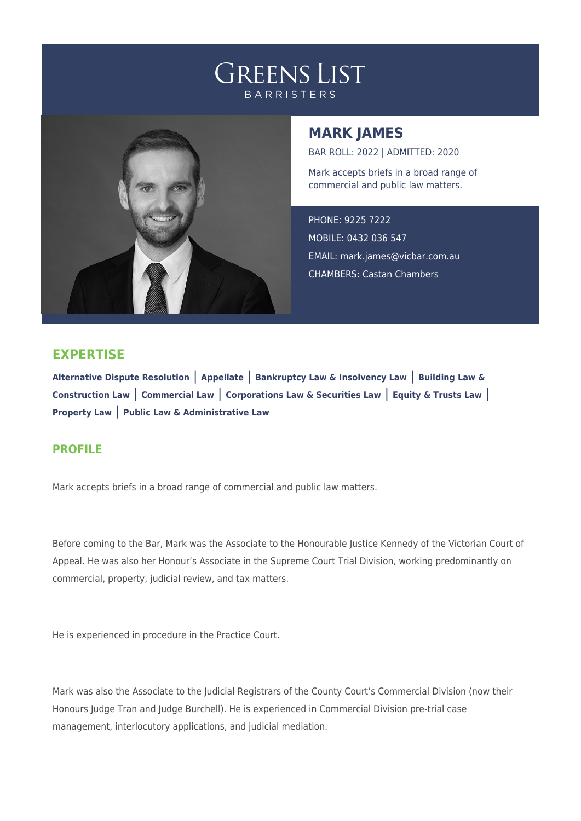## **GREENS LIST BARRISTERS**



## **MARK JAMES**

BAR ROLL: 2022 | ADMITTED: 2020

Mark accepts briefs in a broad range of commercial and public law matters.

PHONE: 9225 7222 MOBILE: 0432 036 547 EMAIL: [mark.james@vicbar.com.au](mailto:mark.james@vicbar.com.au) CHAMBERS: Castan Chambers

## **EXPERTISE**

**Alternative Dispute Resolution** | **Appellate** | **Bankruptcy Law & Insolvency Law** | **Building Law & Construction Law** | **Commercial Law** | **Corporations Law & Securities Law** | **Equity & Trusts Law** | **Property Law** | **Public Law & Administrative Law**

## **PROFILE**

Mark accepts briefs in a broad range of commercial and public law matters.

Before coming to the Bar, Mark was the Associate to the Honourable Justice Kennedy of the Victorian Court of Appeal. He was also her Honour's Associate in the Supreme Court Trial Division, working predominantly on commercial, property, judicial review, and tax matters.

He is experienced in procedure in the Practice Court.

Mark was also the Associate to the Judicial Registrars of the County Court's Commercial Division (now their Honours Judge Tran and Judge Burchell). He is experienced in Commercial Division pre-trial case management, interlocutory applications, and judicial mediation.